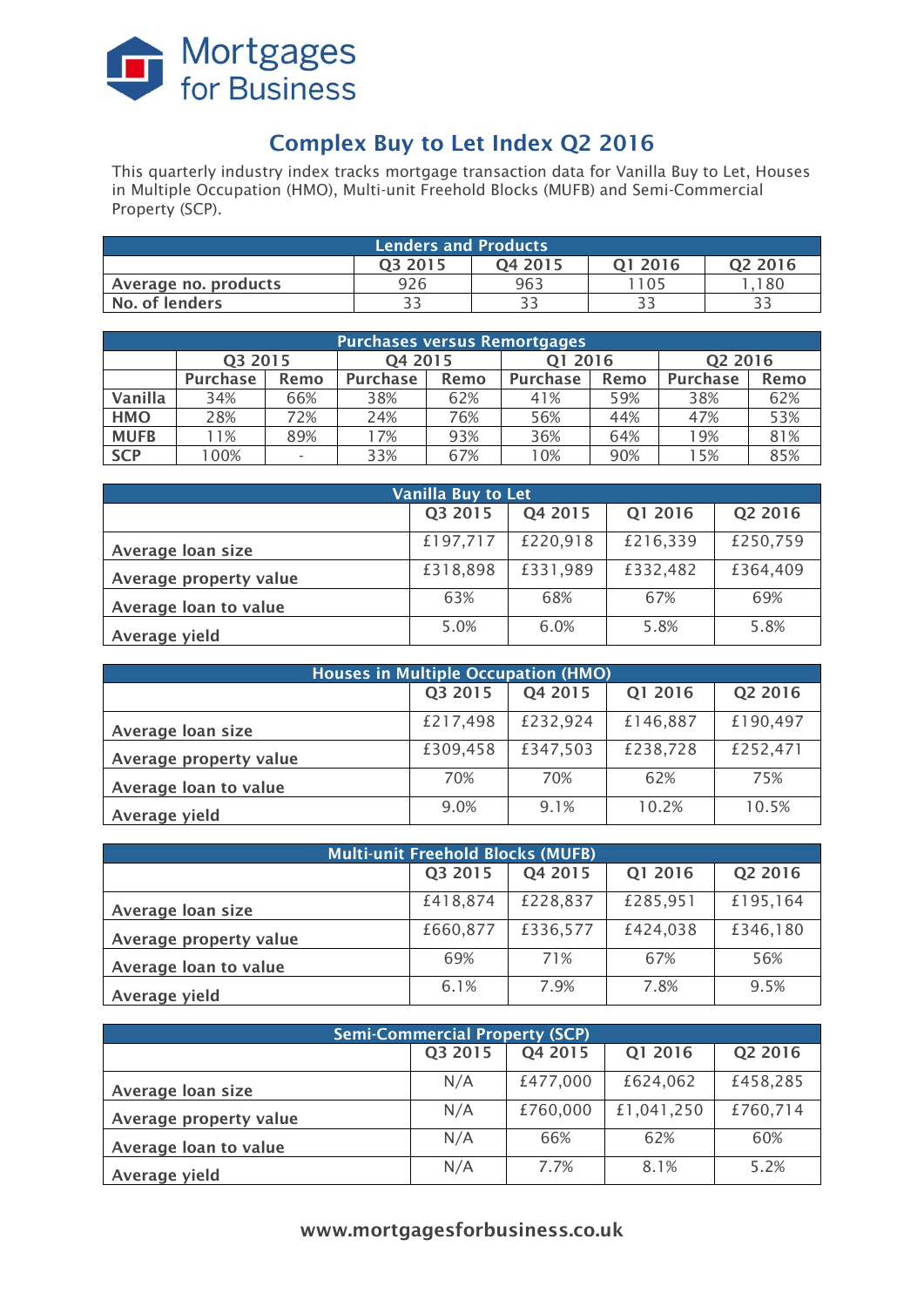

# **Complex Buy to Let Index Q2 2016**

This quarterly industry index tracks mortgage transaction data for Vanilla Buy to Let, Houses in Multiple Occupation (HMO), Multi-unit Freehold Blocks (MUFB) and Semi-Commercial Property (SCP).

| <b>Lenders and Products</b>                          |     |     |      |     |  |  |  |
|------------------------------------------------------|-----|-----|------|-----|--|--|--|
| Q <sub>2</sub> 2016<br>03 2015<br>01 2016<br>04 2015 |     |     |      |     |  |  |  |
| Average no. products                                 | 926 | 963 | 1105 | 180 |  |  |  |
| No. of lenders                                       | つつ  | วว  |      |     |  |  |  |

| <b>Purchases versus Remortgages</b> |                 |                          |                 |      |                         |     |                     |      |
|-------------------------------------|-----------------|--------------------------|-----------------|------|-------------------------|-----|---------------------|------|
|                                     | Q3 2015         |                          | Q4 2015         |      | Q1 2016                 |     | Q <sub>2</sub> 2016 |      |
|                                     | <b>Purchase</b> | Remo                     | <b>Purchase</b> | Remo | <b>Purchase</b><br>Remo |     | <b>Purchase</b>     | Remo |
| Vanilla                             | 34%             | 66%                      | 38%             | 62%  | 41%                     | 59% | 38%                 | 62%  |
| <b>HMO</b>                          | 28%             | 72%                      | 24%             | 76%  | 56%                     | 44% | 47%                 | 53%  |
| <b>MUFB</b>                         | 1%              | 89%                      | 7%              | 93%  | 36%                     | 64% | 19%                 | 81%  |
| <b>SCP</b>                          | 00%             | $\overline{\phantom{0}}$ | 33%             | 67%  | 10%                     | 90% | 15%                 | 85%  |

| Vanilla Buy to Let     |          |          |          |          |  |  |
|------------------------|----------|----------|----------|----------|--|--|
|                        | Q3 2015  | Q4 2015  | Q1 2016  | Q2 2016  |  |  |
| Average loan size      | £197,717 | £220,918 | £216,339 | £250,759 |  |  |
| Average property value | £318,898 | £331,989 | £332,482 | £364,409 |  |  |
| Average loan to value  | 63%      | 68%      | 67%      | 69%      |  |  |
| Average yield          | 5.0%     | 6.0%     | 5.8%     | 5.8%     |  |  |

| <b>Houses in Multiple Occupation (HMO)</b> |          |          |          |          |  |  |
|--------------------------------------------|----------|----------|----------|----------|--|--|
|                                            | Q3 2015  | Q4 2015  | Q1 2016  | Q2 2016  |  |  |
| Average loan size                          | £217,498 | £232,924 | £146,887 | £190,497 |  |  |
| Average property value                     | £309,458 | £347,503 | £238,728 | £252,471 |  |  |
| Average loan to value                      | 70%      | 70%      | 62%      | 75%      |  |  |
| Average yield                              | 9.0%     | 9.1%     | 10.2%    | 10.5%    |  |  |

| <b>Multi-unit Freehold Blocks (MUFB)</b> |          |          |          |          |  |  |
|------------------------------------------|----------|----------|----------|----------|--|--|
|                                          | Q3 2015  | Q4 2015  | Q1 2016  | Q2 2016  |  |  |
| Average loan size                        | £418,874 | £228,837 | £285,951 | £195,164 |  |  |
| Average property value                   | £660,877 | £336,577 | £424,038 | £346,180 |  |  |
| Average loan to value                    | 69%      | 71%      | 67%      | 56%      |  |  |
| Average yield                            | 6.1%     | 7.9%     | 7.8%     | 9.5%     |  |  |

| <b>Semi-Commercial Property (SCP)</b> |         |          |            |          |  |  |
|---------------------------------------|---------|----------|------------|----------|--|--|
|                                       | Q3 2015 | Q4 2015  | Q1 2016    | Q2 2016  |  |  |
| Average loan size                     | N/A     | £477,000 | £624,062   | £458,285 |  |  |
| Average property value                | N/A     | £760,000 | £1,041,250 | £760,714 |  |  |
| Average loan to value                 | N/A     | 66%      | 62%        | 60%      |  |  |
| Average yield                         | N/A     | 7.7%     | 8.1%       | 5.2%     |  |  |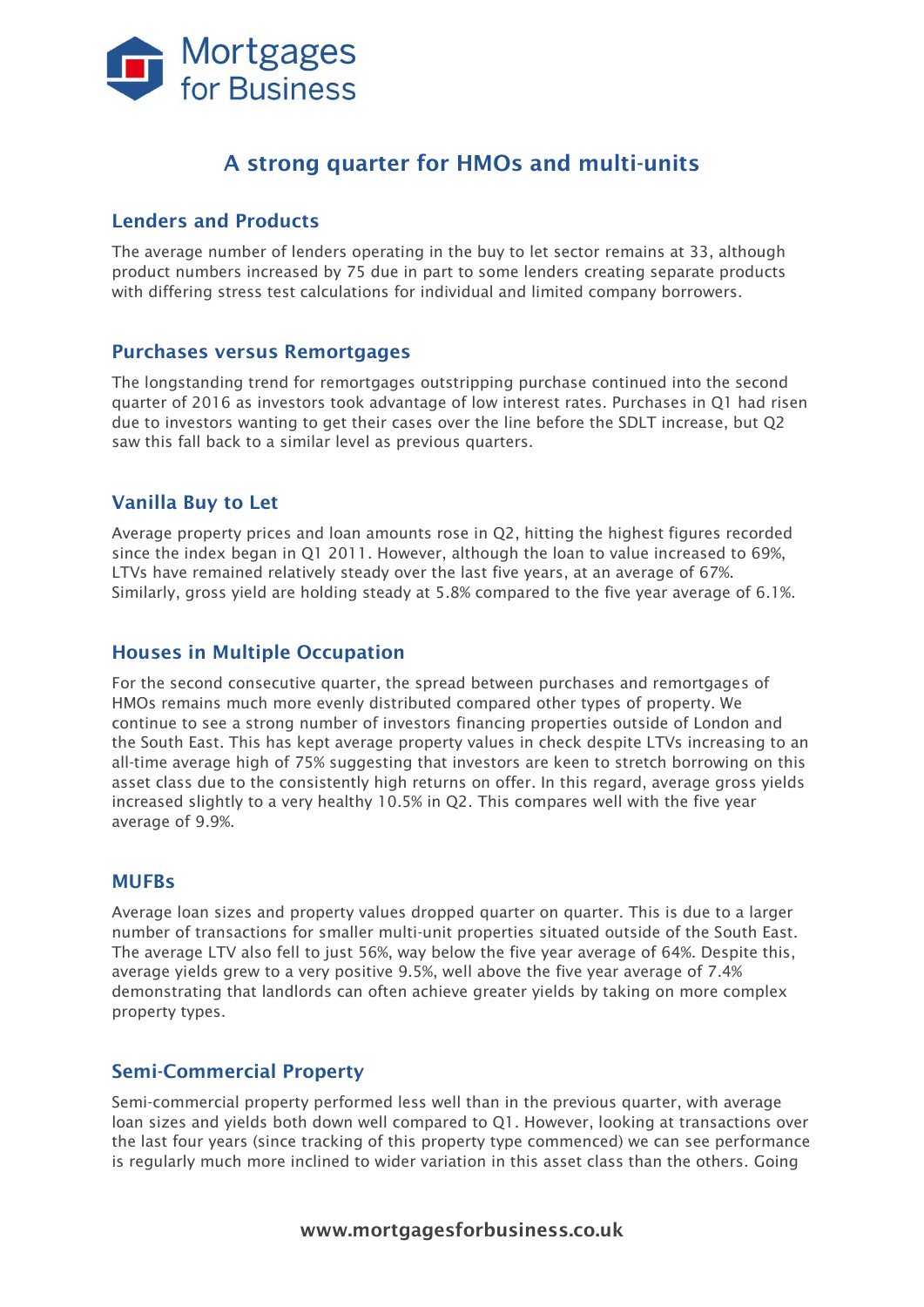

# **A strong quarter for HMOs and multi-units**

#### **Lenders and Products**

The average number of lenders operating in the buy to let sector remains at 33, although product numbers increased by 75 due in part to some lenders creating separate products with differing stress test calculations for individual and limited company borrowers.

#### **Purchases versus Remortgages**

The longstanding trend for remortgages outstripping purchase continued into the second quarter of 2016 as investors took advantage of low interest rates. Purchases in Q1 had risen due to investors wanting to get their cases over the line before the SDLT increase, but Q2 saw this fall back to a similar level as previous quarters.

### **Vanilla Buy to Let**

Average property prices and loan amounts rose in Q2, hitting the highest figures recorded since the index began in Q1 2011. However, although the loan to value increased to 69%, LTVs have remained relatively steady over the last five years, at an average of 67%. Similarly, gross yield are holding steady at 5.8% compared to the five year average of 6.1%.

#### **Houses in Multiple Occupation**

For the second consecutive quarter, the spread between purchases and remortgages of HMOs remains much more evenly distributed compared other types of property. We continue to see a strong number of investors financing properties outside of London and the South East. This has kept average property values in check despite LTVs increasing to an all-time average high of 75% suggesting that investors are keen to stretch borrowing on this asset class due to the consistently high returns on offer. In this regard, average gross yields increased slightly to a very healthy 10.5% in Q2. This compares well with the five year average of 9.9%.

#### **MUFBs**

Average loan sizes and property values dropped quarter on quarter. This is due to a larger number of transactions for smaller multi-unit properties situated outside of the South East. The average LTV also fell to just 56%, way below the five year average of 64%. Despite this, average yields grew to a very positive 9.5%, well above the five year average of 7.4% demonstrating that landlords can often achieve greater yields by taking on more complex property types.

#### **Semi-Commercial Property**

Semi-commercial property performed less well than in the previous quarter, with average loan sizes and yields both down well compared to Q1. However, looking at transactions over the last four years (since tracking of this property type commenced) we can see performance is regularly much more inclined to wider variation in this asset class than the others. Going